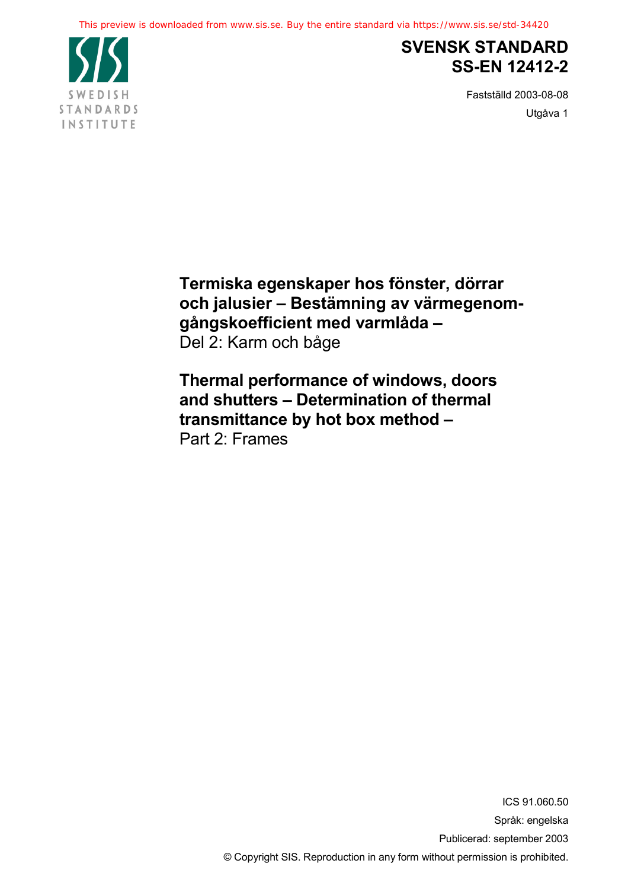

# **SVENSK STANDARD SS-EN 12412-2**

Fastställd 2003-08-08 Utgåva 1

**Termiska egenskaper hos fönster, dörrar och jalusier – Bestämning av värmegenomgångskoefficient med varmlåda –** Del 2: Karm och båge

**Thermal performance of windows, doors and shutters – Determination of thermal transmittance by hot box method –** Part 2: Frames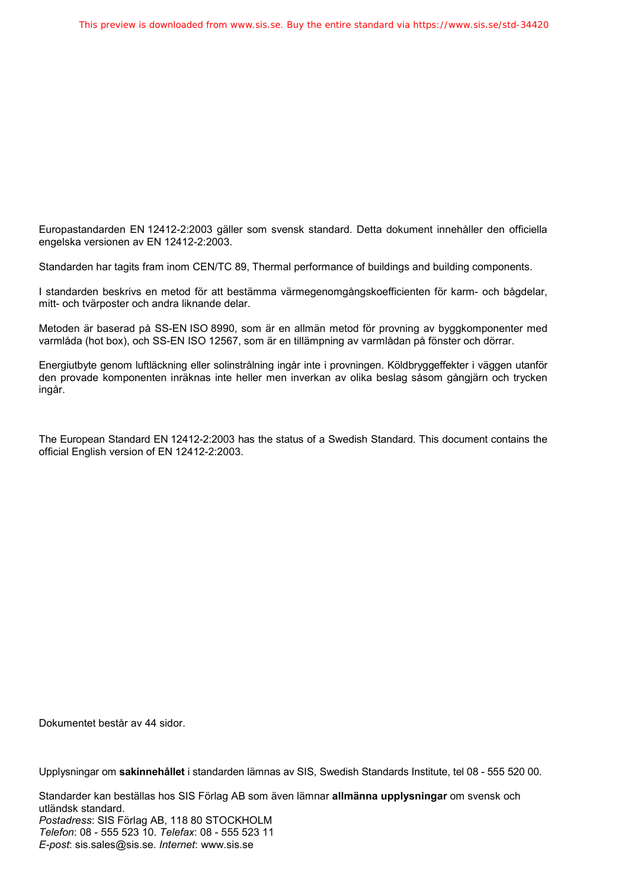Europastandarden EN 12412-2:2003 gäller som svensk standard. Detta dokument innehåller den officiella engelska versionen av EN 12412-2:2003.

Standarden har tagits fram inom CEN/TC 89, Thermal performance of buildings and building components.

I standarden beskrivs en metod för att bestämma värmegenomgångskoefficienten för karm- och bågdelar, mitt- och tvärposter och andra liknande delar.

Metoden är baserad på SS-EN ISO 8990, som är en allmän metod för provning av byggkomponenter med varmlåda (hot box), och SS-EN ISO 12567, som är en tillämpning av varmlådan på fönster och dörrar.

Energiutbyte genom luftläckning eller solinstrålning ingår inte i provningen. Köldbryggeffekter i väggen utanför den provade komponenten inräknas inte heller men inverkan av olika beslag såsom gångjärn och trycken ingår.

The European Standard EN 12412-2:2003 has the status of a Swedish Standard. This document contains the official English version of EN 12412-2:2003.

Dokumentet består av 44 sidor.

Upplysningar om **sakinnehållet** i standarden lämnas av SIS, Swedish Standards Institute, tel 08 - 555 520 00.

Standarder kan beställas hos SIS Förlag AB som även lämnar **allmänna upplysningar** om svensk och utländsk standard. *Postadress*: SIS Förlag AB, 118 80 STOCKHOLM *Telefon*: 08 - 555 523 10. *Telefax*: 08 - 555 523 11 *E-post*: sis.sales@sis.se. *Internet*: www.sis.se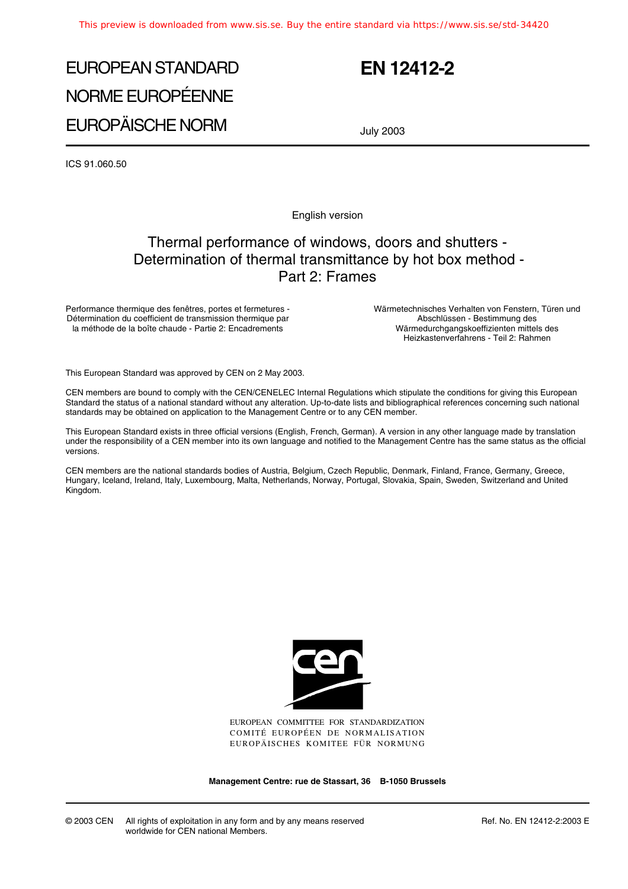# EUROPEAN STANDARD NORME EUROPÉENNE EUROPÄISCHE NORM

# **EN 12412-2**

July 2003

ICS 91.060.50

English version

## Thermal performance of windows, doors and shutters - Determination of thermal transmittance by hot box method - Part 2: Frames

Performance thermique des fenêtres, portes et fermetures - Détermination du coefficient de transmission thermique par la méthode de la boîte chaude - Partie 2: Encadrements

Wärmetechnisches Verhalten von Fenstern, Türen und Abschlüssen - Bestimmung des Wärmedurchgangskoeffizienten mittels des Heizkastenverfahrens - Teil 2: Rahmen

This European Standard was approved by CEN on 2 May 2003.

CEN members are bound to comply with the CEN/CENELEC Internal Regulations which stipulate the conditions for giving this European Standard the status of a national standard without any alteration. Up-to-date lists and bibliographical references concerning such national standards may be obtained on application to the Management Centre or to any CEN member.

This European Standard exists in three official versions (English, French, German). A version in any other language made by translation under the responsibility of a CEN member into its own language and notified to the Management Centre has the same status as the official versions.

CEN members are the national standards bodies of Austria, Belgium, Czech Republic, Denmark, Finland, France, Germany, Greece, Hungary, Iceland, Ireland, Italy, Luxembourg, Malta, Netherlands, Norway, Portugal, Slovakia, Spain, Sweden, Switzerland and United Kingdom.



EUROPEAN COMMITTEE FOR STANDARDIZATION COMITÉ EUROPÉEN DE NORMALISATION EUROPÄISCHES KOMITEE FÜR NORMUNG

**Management Centre: rue de Stassart, 36 B-1050 Brussels**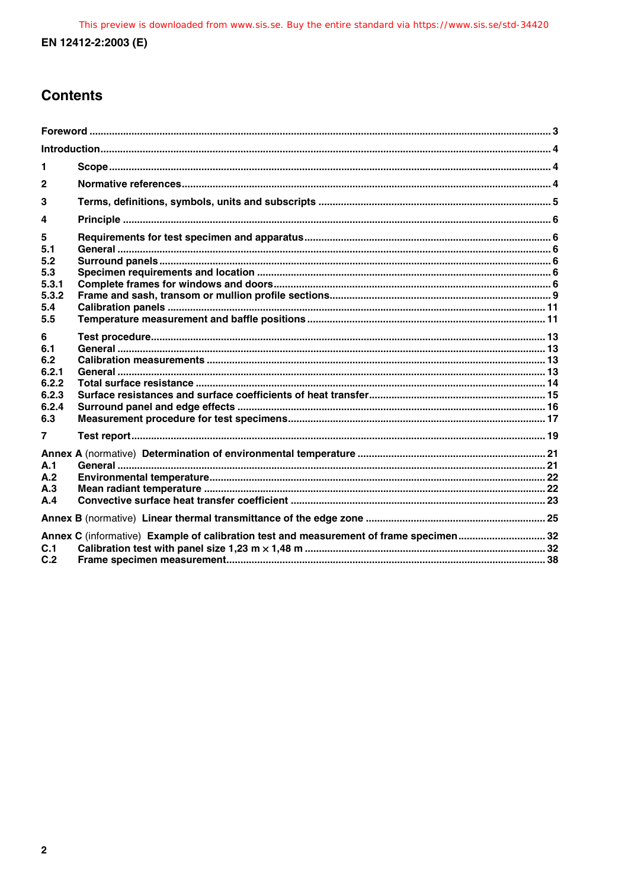# **Contents**

| 1                                                          |                                                                                       |  |  |
|------------------------------------------------------------|---------------------------------------------------------------------------------------|--|--|
| $\overline{2}$                                             |                                                                                       |  |  |
| 3                                                          |                                                                                       |  |  |
| 4                                                          |                                                                                       |  |  |
| 5<br>5.1<br>5.2<br>5.3<br>5.3.1<br>5.3.2<br>5.4<br>5.5     |                                                                                       |  |  |
| 6<br>6.1<br>6.2<br>6.2.1<br>6.2.2<br>6.2.3<br>6.2.4<br>6.3 |                                                                                       |  |  |
| 7                                                          |                                                                                       |  |  |
| A.1<br>A.2<br>A.3<br>A.4                                   |                                                                                       |  |  |
|                                                            |                                                                                       |  |  |
| C.1<br>C.2                                                 | Annex C (informative) Example of calibration test and measurement of frame specimen32 |  |  |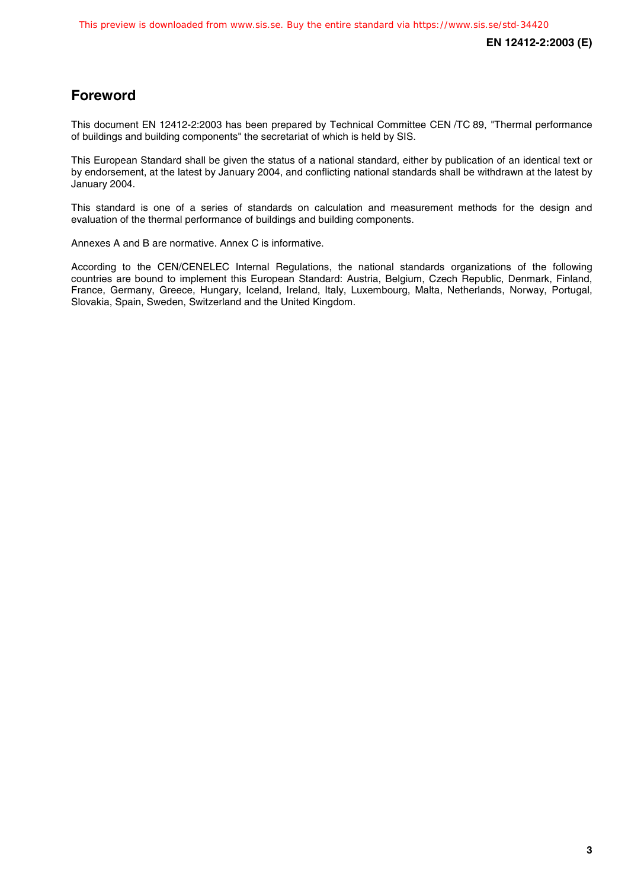### **Foreword**

This document EN 12412-2:2003 has been prepared by Technical Committee CEN /TC 89, "Thermal performance of buildings and building components" the secretariat of which is held by SIS.

This European Standard shall be given the status of a national standard, either by publication of an identical text or by endorsement, at the latest by January 2004, and conflicting national standards shall be withdrawn at the latest by January 2004.

This standard is one of a series of standards on calculation and measurement methods for the design and evaluation of the thermal performance of buildings and building components.

Annexes A and B are normative. Annex C is informative.

According to the CEN/CENELEC Internal Regulations, the national standards organizations of the following countries are bound to implement this European Standard: Austria, Belgium, Czech Republic, Denmark, Finland, France, Germany, Greece, Hungary, Iceland, Ireland, Italy, Luxembourg, Malta, Netherlands, Norway, Portugal, Slovakia, Spain, Sweden, Switzerland and the United Kingdom.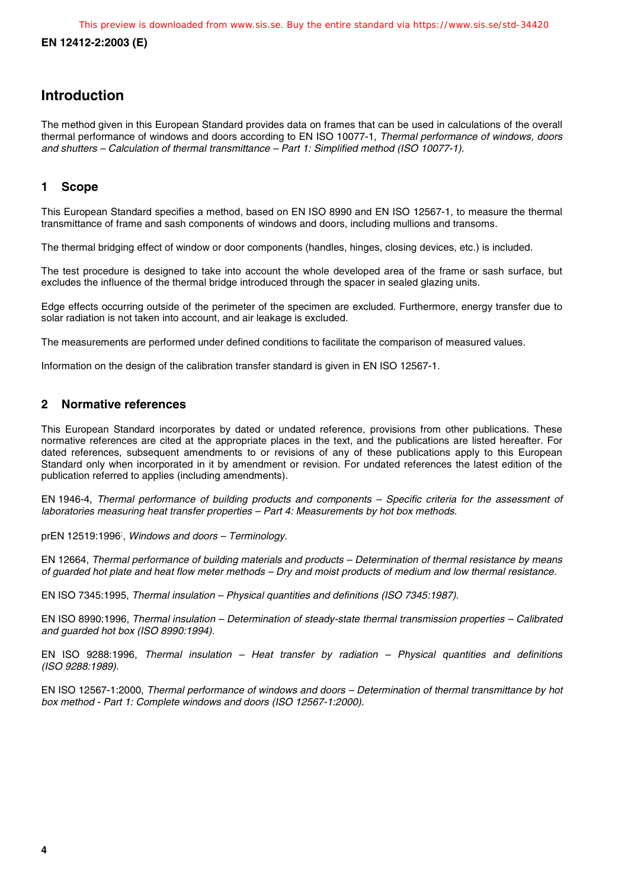### **Introduction**

The method given in this European Standard provides data on frames that can be used in calculations of the overall thermal performance of windows and doors according to EN ISO 10077-1, Thermal performance of windows, doors and shutters – Calculation of thermal transmittance – Part 1: Simplified method (ISO 10077-1).

#### **1 Scope**

This European Standard specifies a method, based on EN ISO 8990 and EN ISO 12567-1, to measure the thermal transmittance of frame and sash components of windows and doors, including mullions and transoms.

The thermal bridging effect of window or door components (handles, hinges, closing devices, etc.) is included.

The test procedure is designed to take into account the whole developed area of the frame or sash surface, but excludes the influence of the thermal bridge introduced through the spacer in sealed glazing units.

Edge effects occurring outside of the perimeter of the specimen are excluded. Furthermore, energy transfer due to solar radiation is not taken into account, and air leakage is excluded.

The measurements are performed under defined conditions to facilitate the comparison of measured values.

Information on the design of the calibration transfer standard is given in EN ISO 12567-1.

#### **2 Normative references**

This European Standard incorporates by dated or undated reference, provisions from other publications. These normative references are cited at the appropriate places in the text, and the publications are listed hereafter. For dated references, subsequent amendments to or revisions of any of these publications apply to this European Standard only when incorporated in it by amendment or revision. For undated references the latest edition of the publication referred to applies (including amendments).

EN 1946-4, Thermal performance of building products and components – Specific criteria for the assessment of laboratories measuring heat transfer properties – Part 4: Measurements by hot box methods.

prEN 12519:1996<sup>:</sup>, Windows and doors - Terminology.

EN 12664, Thermal performance of building materials and products – Determination of thermal resistance by means of guarded hot plate and heat flow meter methods – Dry and moist products of medium and low thermal resistance.

EN ISO 7345:1995, Thermal insulation – Physical quantities and definitions (ISO 7345:1987).

EN ISO 8990:1996, Thermal insulation – Determination of steady-state thermal transmission properties – Calibrated and guarded hot box (ISO 8990:1994).

EN ISO 9288:1996, Thermal insulation – Heat transfer by radiation – Physical quantities and definitions (ISO 9288:1989).

EN ISO 12567-1:2000, Thermal performance of windows and doors – Determination of thermal transmittance by hot box method - Part 1: Complete windows and doors (ISO 12567-1:2000).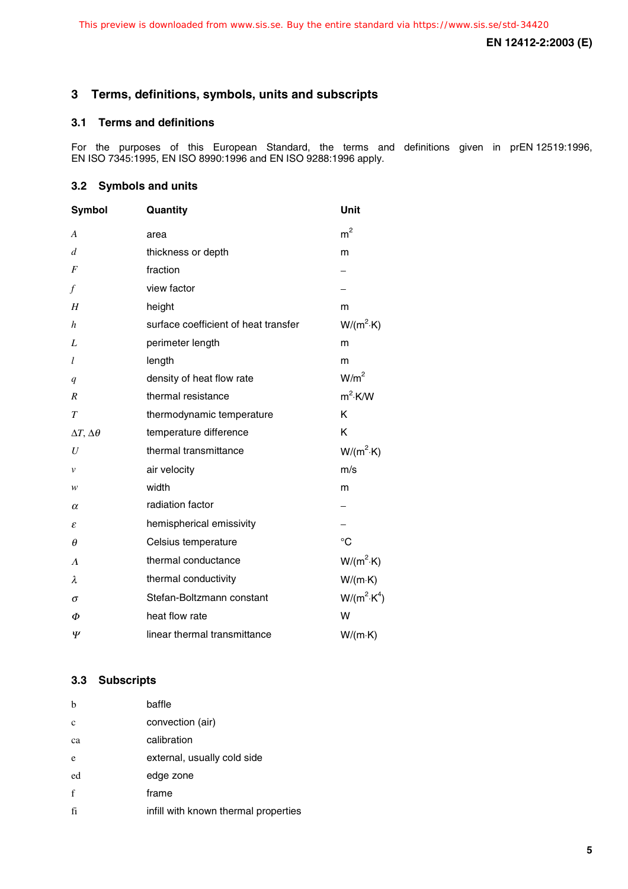#### **3 Terms, definitions, symbols, units and subscripts**

#### **3.1 Terms and definitions**

For the purposes of this European Standard, the terms and definitions given in prEN 12519:1996, EN ISO 7345:1995, EN ISO 8990:1996 and EN ISO 9288:1996 apply.

#### **3.2 Symbols and units**

| Symbol                    | Quantity                             | Unit                |
|---------------------------|--------------------------------------|---------------------|
| A                         | area                                 | $\rm m^2$           |
| $\boldsymbol{d}$          | thickness or depth                   | m                   |
| F                         | fraction                             |                     |
| f                         | view factor                          |                     |
| H                         | height                               | m                   |
| $\boldsymbol{h}$          | surface coefficient of heat transfer | $W/(m^2 \cdot K)$   |
| L                         | perimeter length                     | m                   |
| l                         | length                               | m                   |
| q                         | density of heat flow rate            | W/m <sup>2</sup>    |
| R                         | thermal resistance                   | $m^2$ ·K/W          |
| $\tau$                    | thermodynamic temperature            | K                   |
| $\Delta T, \Delta \theta$ | temperature difference               | ĸ                   |
| U                         | thermal transmittance                | $W/(m^2 \cdot K)$   |
| ν                         | air velocity                         | m/s                 |
| w                         | width                                | m                   |
| $\alpha$                  | radiation factor                     |                     |
| ε                         | hemispherical emissivity             |                     |
| $\theta$                  | Celsius temperature                  | °C                  |
| Λ                         | thermal conductance                  | $W/(m^2 \cdot K)$   |
| λ                         | thermal conductivity                 | $W/(m \cdot K)$     |
| σ                         | Stefan-Boltzmann constant            | $W/(m^2 \cdot K^4)$ |
| Φ                         | heat flow rate                       | W                   |
| Ψ                         | linear thermal transmittance         | $W/(m \cdot K)$     |

#### **3.3 Subscripts**

| b           | baffle                               |
|-------------|--------------------------------------|
| c           | convection (air)                     |
| ca          | calibration                          |
| e           | external, usually cold side          |
| ed          | edge zone                            |
| $\mathbf f$ | frame                                |
| fi          | infill with known thermal properties |
|             |                                      |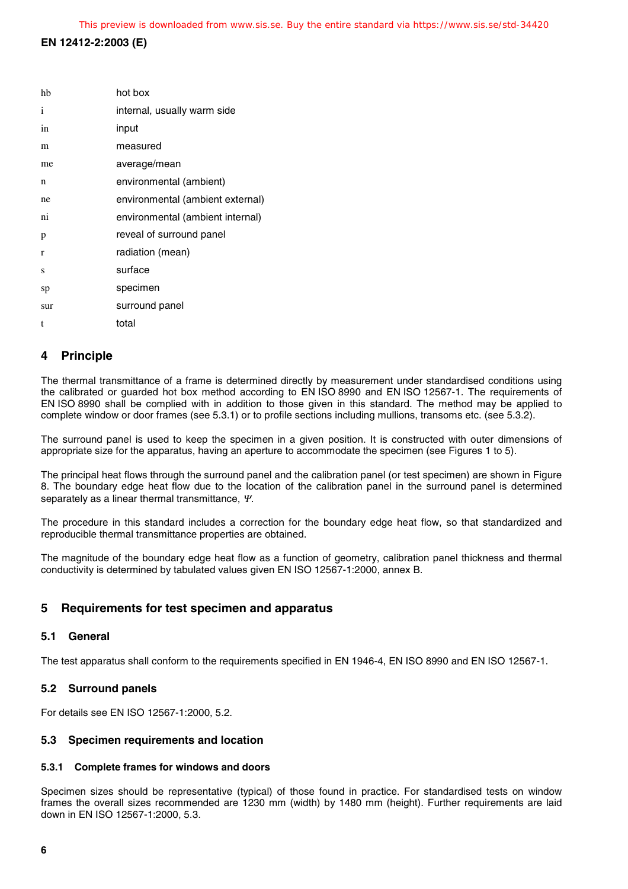| hb  | hot box                          |
|-----|----------------------------------|
| i   | internal, usually warm side      |
| in  | input                            |
| m   | measured                         |
| me  | average/mean                     |
| n   | environmental (ambient)          |
| ne  | environmental (ambient external) |
| ni  | environmental (ambient internal) |
| p   | reveal of surround panel         |
| r   | radiation (mean)                 |
| S   | surface                          |
| sp  | specimen                         |
| sur | surround panel                   |
| t   | total                            |
|     |                                  |

#### **4 Principle**

The thermal transmittance of a frame is determined directly by measurement under standardised conditions using the calibrated or guarded hot box method according to EN ISO 8990 and EN ISO 12567-1. The requirements of EN ISO 8990 shall be complied with in addition to those given in this standard. The method may be applied to complete window or door frames (see 5.3.1) or to profile sections including mullions, transoms etc. (see 5.3.2).

The surround panel is used to keep the specimen in a given position. It is constructed with outer dimensions of appropriate size for the apparatus, having an aperture to accommodate the specimen (see Figures 1 to 5).

The principal heat flows through the surround panel and the calibration panel (or test specimen) are shown in Figure 8. The boundary edge heat flow due to the location of the calibration panel in the surround panel is determined separately as a linear thermal transmittance, Ψ.

The procedure in this standard includes a correction for the boundary edge heat flow, so that standardized and reproducible thermal transmittance properties are obtained.

The magnitude of the boundary edge heat flow as a function of geometry, calibration panel thickness and thermal conductivity is determined by tabulated values given EN ISO 12567-1:2000, annex B.

#### **5 Requirements for test specimen and apparatus**

#### **5.1 General**

The test apparatus shall conform to the requirements specified in EN 1946-4, EN ISO 8990 and EN ISO 12567-1.

#### **5.2 Surround panels**

For details see EN ISO 12567-1:2000, 5.2.

#### **5.3 Specimen requirements and location**

#### **5.3.1 Complete frames for windows and doors**

Specimen sizes should be representative (typical) of those found in practice. For standardised tests on window frames the overall sizes recommended are 1230 mm (width) by 1480 mm (height). Further requirements are laid down in EN ISO 12567-1:2000, 5.3.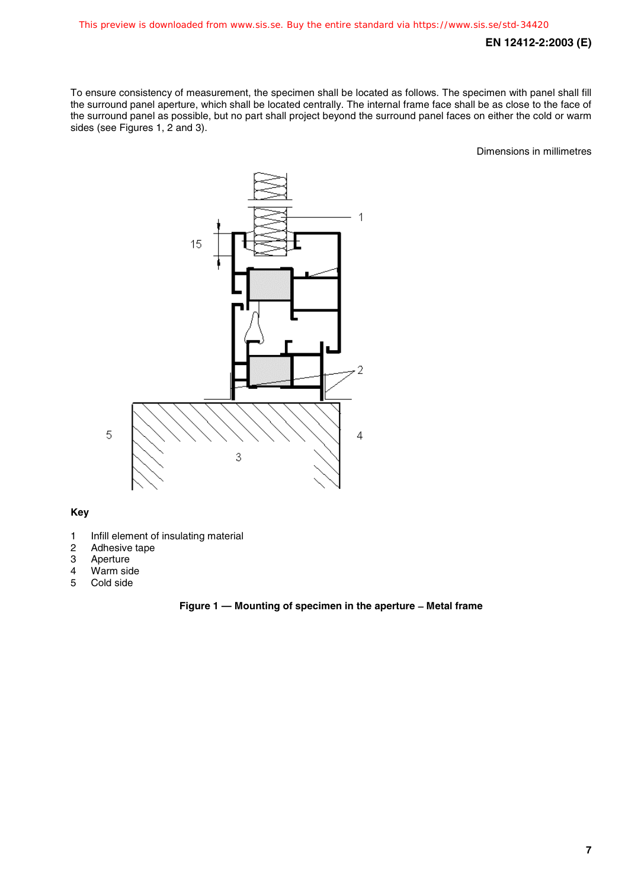To ensure consistency of measurement, the specimen shall be located as follows. The specimen with panel shall fill the surround panel aperture, which shall be located centrally. The internal frame face shall be as close to the face of the surround panel as possible, but no part shall project beyond the surround panel faces on either the cold or warm sides (see Figures 1, 2 and 3).

Dimensions in millimetres



#### **Key**

- 1 Infill element of insulating material<br>2 Adhesive tape
- 2 Adhesive tape<br>3 Aperture
- **Aperture**
- 4 Warm side<br>5 Cold side
- Cold side

#### **Figure 1 — Mounting of specimen in the aperture** − **Metal frame**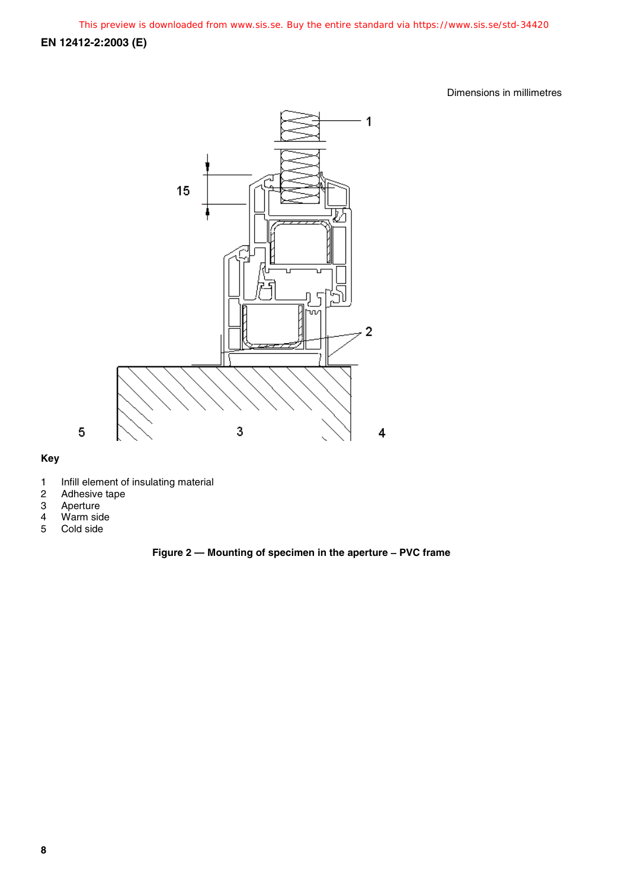Dimensions in millimetres



#### **Key**

- 1 Infill element of insulating material
- 2 Adhesive tape
- 3 Aperture
- 4 Warm side<br>5 Cold side
- Cold side

#### **Figure 2 — Mounting of specimen in the aperture** − **PVC frame**